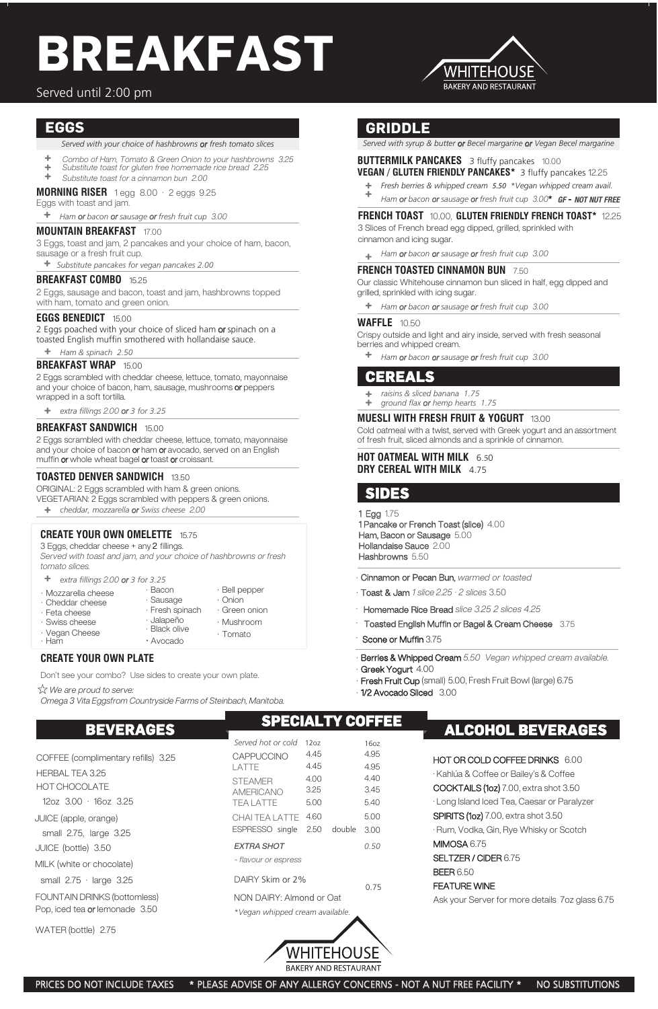#### **MORNING RISER** 1 egg 8.00 · 2 eggs 9.25

Eggs with toast and jam.

#### **MOUNTAIN BREAKFAST** 17.00

3 Eggs, toast and jam, 2 pancakes and your choice of ham, bacon, sausage or a fresh fruit cup.

2 Eggs poached with your choice of sliced ham or spinach on a toasted English muffin smothered with hollandaise sauce.

*Substitute pancakes for vegan pancakes 2.00*

#### **BREAKFAST COMBO** 15.25

2 Eggs scrambled with cheddar cheese, lettuce, tomato, mayonnaise and your choice of bacon or ham or avocado, served on an English muffin or whole wheat bagel or toast or croissant.

2 Eggs, sausage and bacon, toast and jam, hashbrowns topped with ham, tomato and green onion.

#### **EGGS BENEDICT** 15.00

#### **BREAKFAST WRAP** 15.00

2 Eggs scrambled with cheddar cheese, lettuce, tomato, mayonnaise and your choice of bacon, ham, sausage, mushrooms or peppers wrapped in a soft tortilla.

#### **BREAKFAST SANDWICH** 15.00

#### **TOASTED DENVER SANDWICH** 13.50

- Berries & Whipped Cream 5.50 Vegan whipped cream available. Greek Yogurt 4.00
- · Fresh Fruit Cup (small) 5.00, Fresh Fruit Bowl (large) 6.75
- · 1/2 Avocado Sliced 3.00

ORIGINAL: 2 Eggs scrambled with ham & green onions. VEGETARIAN: 2 Eggs scrambled with peppers & green onions.

*cheddar, mozzarella or Swiss cheese* 2.00

*Ham or bacon or sausage or fresh fruit cup* 3.00

*extra fillings* 2.00 *or 3 for 3.25*

#### **BUTTERMILK PANCAKES** 3 fluffy pancakes 10.00 **VEGAN / GLUTEN FRIENDLY PANCAKES\*** 3 fluffy pancakes 12.25

#### **FRENCH TOAST** 10.00, **GLUTEN FRIENDLY FRENCH TOAST\*** 12.25

- $\div$ Combo of Ham, Tomato & Green Onion to your hashbrowns 3.25
- Substitute toast for gluten free homemade rice bread 2.25
- $+$ Substitute toast for a cinnamon bun 2.00

3 Slices of French bread egg dipped, grilled, sprinkled with cinnamon and icing sugar.

#### **FRENCH TOASTED CINNAMON BUN** 7.50

Our classic Whitehouse cinnamon bun sliced in half, egg dipped and grilled, sprinkled with icing sugar.

#### **WAFFLE** 10.50

Crispy outside and light and airy inside, served with fresh seasonal berries and whipped cream.

·

- · Cinnamon or Pecan Bun, warmed or toasted
- $\cdot$  Toast & Jam 1 slice 2.25  $\cdot$  2 slices 3.50
- Homemade Rice Bread slice 3.25 2 slices 4.25
- Toasted English Muffin or Bagel & Cream Cheese 3.75

·

 $\hat{\mathbb{X}}$  We are proud to serve: Omega 3 Vita Eggsfrom Countryside Farms of Steinbach, Manitoba.

*Ham or bacon or sausage or fresh fruit cup* 3.00

*Ham or bacon or sausage or fresh fruit cup* 3.00

*Ham or bacon or sausage or fresh fruit cup* 3.00

- *raisins & sliced banana 1.75*
- $+$ *ground flax or hemp hearts 1.75*

1 Pancake or French Toast (slice) 4.00 Ham, Bacon or Sausage 5.00 Hollandaise Sauce 2.00 Hashbrowns 5.50

WATER (bottle) 2.75

# **SIDES**

*Served with your choice of hashbrowns or fresh tomato slices*

# **BEVERAGES ALCOHOL BEVERAGES**

## Served until 2:00 pm

# **SPECIALTY COFFEE**

- *Fresh berries & whipped cream* 5.50 *\*Vegan whipped cream avail.*
- *Ham or bacon or sausage or fresh fruit cup* 3.00**\*** *GF* **-** *NOT NUT FREE*

*\*Vegan whipped cream available.*



## **EGGS**

*Ham & spinach 2.50*

#### **MUESLI WITH FRESH FRUIT & YOGURT** 13.00

Cold oatmeal with a twist, served with Greek yogurt and an assortment of fresh fruit, sliced almonds and a sprinkle of cinnamon.

12oz 3.00 · 16oz 3.25 JUICE (apple, orange) small 2.75, large 3.25 JUICE (bottle) 3.50 MILK (white or chocolate) small 2.75 · large 3.25 FOUNTAIN DRINKS (bottomless) Pop, iced tea or lemonade 3.50 COFFEE (complimentary refills) 3.25 HERBAL TEA 3.25 HOT CHOCOLATE

#### **HOT OATMEAL WITH MILK** 6.50 **DRY CEREAL WITH MILK** 4.75

# **CEREALS**

*Served with syrup & butter or Becel margarine or Vegan Becel margarine*

# **GRIDDLE**

| Served hot or cold       | 1207 |        | 1607 |  |
|--------------------------|------|--------|------|--|
| CAPPUCCINO               | 4.45 |        | 4.95 |  |
| I ATTF                   | 4.45 |        | 4.95 |  |
| <b>STFAMER</b>           | 4.00 |        | 4.40 |  |
| AMERICANO                | 3.25 |        | 3.45 |  |
| TFA I ATTF               | 5.00 |        | 540  |  |
| CHAI TFA LATTE           | 4.60 |        | 5.00 |  |
| ESPRESSO single          | 2.50 | double | 3.00 |  |
| EXTRA SHOT               |      |        | 0.50 |  |
| - flavour or espress     |      |        |      |  |
| DAIRY Skim or 2%         |      |        |      |  |
|                          |      |        | ი 75 |  |
| NON DAIRY: Almond or Oat |      |        |      |  |

#### **CREATE YOUR OWN PLATE**

Don't see your combo? Use sides to create your own plate.

*extra fillings* 2.00 *or 3 for 3.25*

#### **CREATE YOUR OWN OMELETTE** 15.75

3 Eggs, cheddar cheese + any 2 fillings. Served with toast and jam, and your choice of hashbrowns or fresh tomato slices.

# **BREAKFAST**



#### HOT OR COLD COFFEE DRINKS 6.00

· Kahlúa & Coffee or Bailey's & Coffee COCKTAILS (1oz) 7.00, extra shot 3.50 · Long Island Iced Tea, Caesar or Paralyzer SPIRITS (1oz) 7.00, extra shot 3.50 · Rum, Vodka, Gin, Rye Whisky or Scotch MIMOSA 6.75 SELTZER / CIDER 6.75 BEER 6.50 FEATURE WINE

Ask your Server for more details 7oz glass 6.75

PRICES DO NOT INCLUDE TAXES \* PLEASE ADVISE OF ANY ALLERGY CONCERNS - NOT A NUT FREE FACILITY \* NO SUBSTITUTIONS

#### Scone or Muffin 3.75

# 1 Egg 1.75